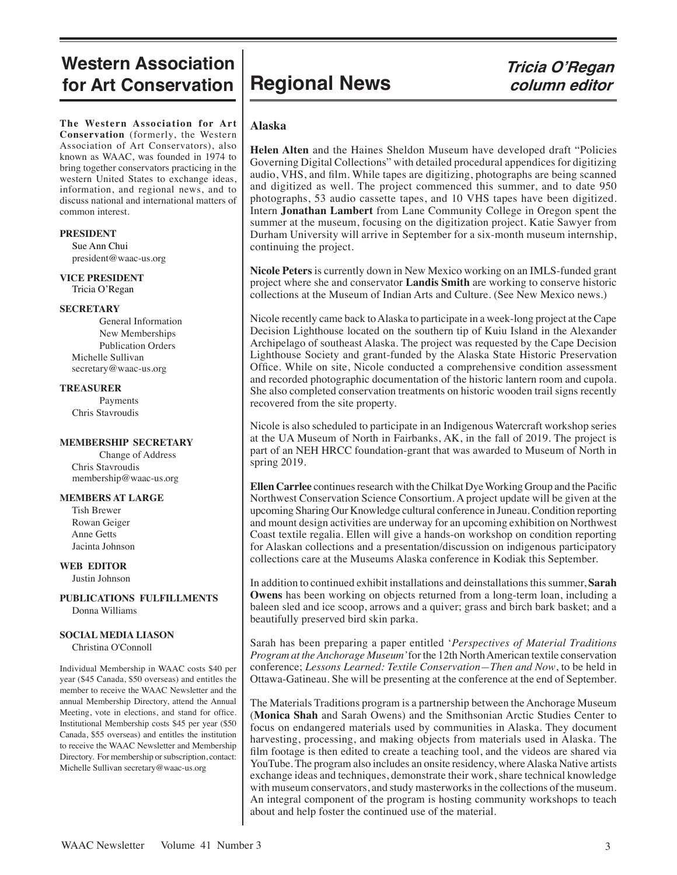## **Western Association** Western Association |<br>for Art Conservation | Regional News *Tricia O'Regan*

**The Western Association for Art Conservation** (formerly, the Western Association of Art Conservators), also known as WAAC, was founded in 1974 to bring together conservators practicing in the western United States to exchange ideas, information, and regional news, and to discuss national and international matters of common interest.

#### **PRESIDENT**

 Sue Ann Chui president@waac-us.org

### **VICE PRESIDENT**

Tricia O'Regan

#### **SECRETARY**

General Information New Memberships Publication Orders Michelle Sullivan secretary@waac-us.org

#### **TREASURER**

Payments Chris Stavroudis

#### **MEMBERSHIP SECRETARY**

Change of Address Chris Stavroudis membership@waac-us.org

#### **MEMBERS AT LARGE**

 Tish Brewer Rowan Geiger Anne Getts Jacinta Johnson

#### **WEB EDITOR** Justin Johnson

**PUBLICATIONS FULFILLMENTS** Donna Williams

#### **SOCIAL MEDIA LIASON**

Christina O'Connoll

Individual Membership in WAAC costs \$40 per year (\$45 Canada, \$50 overseas) and entitles the member to receive the WAAC Newsletter and the annual Membership Directory, attend the Annual Meeting, vote in elections, and stand for office. Institutional Membership costs \$45 per year (\$50 Canada, \$55 overseas) and entitles the institution to receive the WAAC Newsletter and Membership Directory. For membership or subscription, contact: Michelle Sullivan secretary@waac-us.org

# **column editor**

#### **Alaska**

**Helen Alten** and the Haines Sheldon Museum have developed draft "Policies Governing Digital Collections" with detailed procedural appendices for digitizing audio, VHS, and film. While tapes are digitizing, photographs are being scanned and digitized as well. The project commenced this summer, and to date 950 photographs, 53 audio cassette tapes, and 10 VHS tapes have been digitized. Intern **Jonathan Lambert** from Lane Community College in Oregon spent the summer at the museum, focusing on the digitization project. Katie Sawyer from Durham University will arrive in September for a six-month museum internship, continuing the project.

**Nicole Peters** is currently down in New Mexico working on an IMLS-funded grant project where she and conservator **Landis Smith** are working to conserve historic collections at the Museum of Indian Arts and Culture. (See New Mexico news.)

Nicole recently came back to Alaska to participate in a week-long project at the Cape Decision Lighthouse located on the southern tip of Kuiu Island in the Alexander Archipelago of southeast Alaska. The project was requested by the Cape Decision Lighthouse Society and grant-funded by the Alaska State Historic Preservation Office. While on site, Nicole conducted a comprehensive condition assessment and recorded photographic documentation of the historic lantern room and cupola. She also completed conservation treatments on historic wooden trail signs recently recovered from the site property.

Nicole is also scheduled to participate in an Indigenous Watercraft workshop series at the UA Museum of North in Fairbanks, AK, in the fall of 2019. The project is part of an NEH HRCC foundation-grant that was awarded to Museum of North in spring 2019.

**Ellen Carrlee** continues research with the Chilkat Dye Working Group and the Pacific Northwest Conservation Science Consortium. A project update will be given at the upcoming Sharing Our Knowledge cultural conference in Juneau. Condition reporting and mount design activities are underway for an upcoming exhibition on Northwest Coast textile regalia. Ellen will give a hands-on workshop on condition reporting for Alaskan collections and a presentation/discussion on indigenous participatory collections care at the Museums Alaska conference in Kodiak this September.

In addition to continued exhibit installations and deinstallations this summer, **Sarah Owens** has been working on objects returned from a long-term loan, including a baleen sled and ice scoop, arrows and a quiver; grass and birch bark basket; and a beautifully preserved bird skin parka.

Sarah has been preparing a paper entitled '*Perspectives of Material Traditions Program at the Anchorage Museum'* for the 12th North American textile conservation conference; *Lessons Learned: Textile Conservation—Then and Now*, to be held in Ottawa-Gatineau. She will be presenting at the conference at the end of September.

The Materials Traditions program is a partnership between the Anchorage Museum (**Monica Shah** and Sarah Owens) and the Smithsonian Arctic Studies Center to focus on endangered materials used by communities in Alaska. They document harvesting, processing, and making objects from materials used in Alaska. The film footage is then edited to create a teaching tool, and the videos are shared via YouTube. The program also includes an onsite residency, where Alaska Native artists exchange ideas and techniques, demonstrate their work, share technical knowledge with museum conservators, and study masterworks in the collections of the museum. An integral component of the program is hosting community workshops to teach about and help foster the continued use of the material.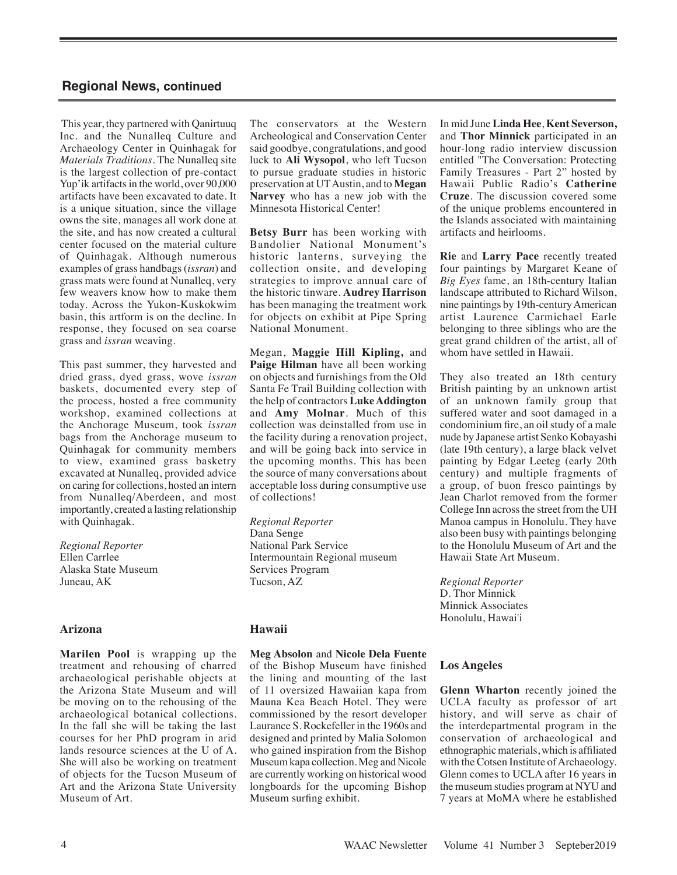This year, they partnered with Qanirtuuq Inc. and the Nunalleq Culture and Archaeology Center in Quinhagak for *Materials Traditions*. The Nunalleq site is the largest collection of pre-contact Yup'ik artifacts in the world, over 90,000 artifacts have been excavated to date. It is a unique situation, since the village owns the site, manages all work done at the site, and has now created a cultural center focused on the material culture of Quinhagak. Although numerous examples of grass handbags (*issran*) and grass mats were found at Nunalleq, very few weavers know how to make them today. Across the Yukon-Kuskokwim basin, this artform is on the decline. In response, they focused on sea coarse grass and *issran* weaving.

This past summer, they harvested and dried grass, dyed grass, wove *issran* baskets, documented every step of the process, hosted a free community workshop, examined collections at the Anchorage Museum, took *issran* bags from the Anchorage museum to Quinhagak for community members to view, examined grass basketry excavated at Nunalleq, provided advice on caring for collections, hosted an intern from Nunalleq/Aberdeen, and most importantly, created a lasting relationship with Quinhagak.

*Regional Reporter*  Ellen Carrlee Alaska State Museum Juneau, AK

#### **Arizona**

**Marilen Pool** is wrapping up the treatment and rehousing of charred archaeological perishable objects at the Arizona State Museum and will be moving on to the rehousing of the archaeological botanical collections. In the fall she will be taking the last courses for her PhD program in arid lands resource sciences at the U of A. She will also be working on treatment of objects for the Tucson Museum of Art and the Arizona State University Museum of Art.

The conservators at the Western Archeological and Conservation Center said goodbye, congratulations, and good luck to **Ali Wysopol**, who left Tucson to pursue graduate studies in historic preservation at UT Austin, and to **Megan Narvey** who has a new job with the Minnesota Historical Center!

**Betsy Burr** has been working with Bandolier National Monument's historic lanterns, surveying the collection onsite, and developing strategies to improve annual care of the historic tinware. **Audrey Harrison**  has been managing the treatment work for objects on exhibit at Pipe Spring National Monument.

Megan, **Maggie Hill Kipling,** and **Paige Hilman** have all been working on objects and furnishings from the Old Santa Fe Trail Building collection with the help of contractors **Luke Addington** and **Amy Molnar**. Much of this collection was deinstalled from use in the facility during a renovation project, and will be going back into service in the upcoming months. This has been the source of many conversations about acceptable loss during consumptive use of collections!

*Regional Reporter*  Dana Senge National Park Service Intermountain Regional museum Services Program Tucson, AZ

#### **Hawaii**

#### **Meg Absolon** and **Nicole Dela Fuente**

of the Bishop Museum have finished the lining and mounting of the last of 11 oversized Hawaiian kapa from Mauna Kea Beach Hotel. They were commissioned by the resort developer Laurance S. Rockefeller in the 1960s and designed and printed by Malia Solomon who gained inspiration from the Bishop Museum kapa collection. Meg and Nicole are currently working on historical wood longboards for the upcoming Bishop Museum surfing exhibit.

In mid June **Linda Hee**, **Kent Severson,** and **Thor Minnick** participated in an hour-long radio interview discussion entitled "The Conversation: Protecting Family Treasures - Part 2" hosted by Hawaii Public Radio's **Catherine Cruze**. The discussion covered some of the unique problems encountered in the Islands associated with maintaining artifacts and heirlooms.

**Rie** and **Larry Pace** recently treated four paintings by Margaret Keane of *Big Eyes* fame, an 18th-century Italian landscape attributed to Richard Wilson, nine paintings by 19th-century American artist Laurence Carmichael Earle belonging to three siblings who are the great grand children of the artist, all of whom have settled in Hawaii.

They also treated an 18th century British painting by an unknown artist of an unknown family group that suffered water and soot damaged in a condominium fire, an oil study of a male nude by Japanese artist Senko Kobayashi (late 19th century), a large black velvet painting by Edgar Leeteg (early 20th century) and multiple fragments of a group, of buon fresco paintings by Jean Charlot removed from the former College Inn across the street from the UH Manoa campus in Honolulu. They have also been busy with paintings belonging to the Honolulu Museum of Art and the Hawaii State Art Museum.

*Regional Reporter* D. Thor Minnick Minnick Associates Honolulu, Hawai'i

#### **Los Angeles**

**Glenn Wharton** recently joined the UCLA faculty as professor of art history, and will serve as chair of the interdepartmental program in the conservation of archaeological and ethnographic materials, which is affiliated with the Cotsen Institute of Archaeology. Glenn comes to UCLA after 16 years in the museum studies program at NYU and 7 years at MoMA where he established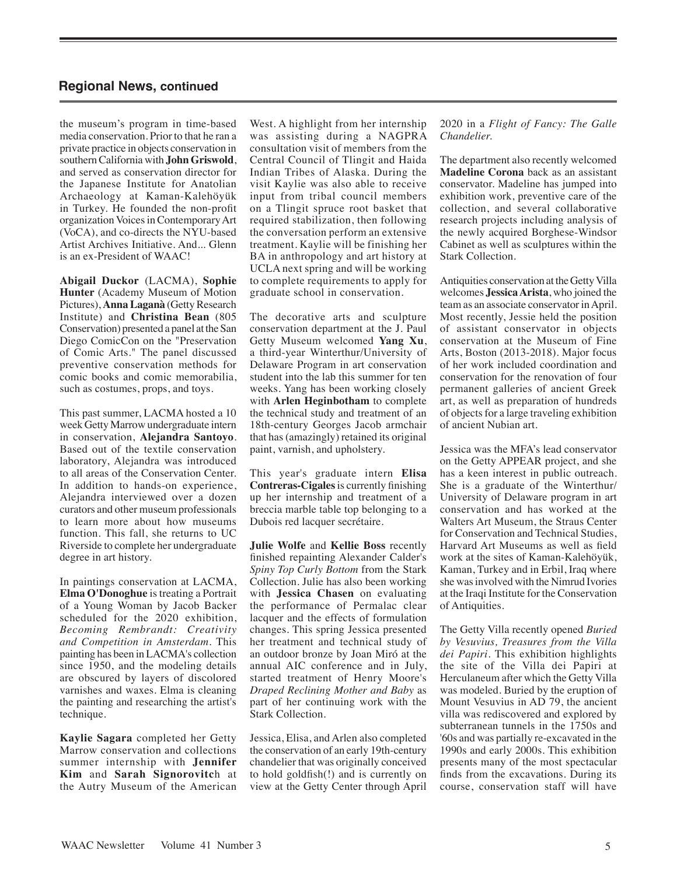the museum's program in time-based media conservation. Prior to that he ran a private practice in objects conservation in southern California with **John Griswold**, and served as conservation director for the Japanese Institute for Anatolian Archaeology at Kaman-Kalehöyük in Turkey. He founded the non-profit organization Voices in Contemporary Art (VoCA), and co-directs the NYU-based Artist Archives Initiative. And... Glenn is an ex-President of WAAC!

**Abigail Duckor** (LACMA), **Sophie Hunter** (Academy Museum of Motion Pictures), **Anna Laganà** (Getty Research Institute) and **Christina Bean** (805 Conservation) presented a panel at the San Diego ComicCon on the "Preservation of Comic Arts." The panel discussed preventive conservation methods for comic books and comic memorabilia, such as costumes, props, and toys.

This past summer, LACMA hosted a 10 week Getty Marrow undergraduate intern in conservation, **Alejandra Santoyo**. Based out of the textile conservation laboratory, Alejandra was introduced to all areas of the Conservation Center. In addition to hands-on experience, Alejandra interviewed over a dozen curators and other museum professionals to learn more about how museums function. This fall, she returns to UC Riverside to complete her undergraduate degree in art history.

In paintings conservation at LACMA, **Elma O'Donoghue** is treating a Portrait of a Young Woman by Jacob Backer scheduled for the 2020 exhibition, *Becoming Rembrandt: Creativity and Competition in Amsterdam.* This painting has been in LACMA's collection since 1950, and the modeling details are obscured by layers of discolored varnishes and waxes. Elma is cleaning the painting and researching the artist's technique.

**Kaylie Sagara** completed her Getty Marrow conservation and collections summer internship with **Jennifer Kim** and **Sarah Signorovitc**h at the Autry Museum of the American

West. A highlight from her internship was assisting during a NAGPRA consultation visit of members from the Central Council of Tlingit and Haida Indian Tribes of Alaska. During the visit Kaylie was also able to receive input from tribal council members on a Tlingit spruce root basket that required stabilization, then following the conversation perform an extensive treatment. Kaylie will be finishing her BA in anthropology and art history at UCLA next spring and will be working to complete requirements to apply for graduate school in conservation.

The decorative arts and sculpture conservation department at the J. Paul Getty Museum welcomed **Yang Xu**, a third-year Winterthur/University of Delaware Program in art conservation student into the lab this summer for ten weeks. Yang has been working closely with **Arlen Heginbotham** to complete the technical study and treatment of an 18th-century Georges Jacob armchair that has (amazingly) retained its original paint, varnish, and upholstery.

This year's graduate intern **Elisa Contreras-Cigales** is currently finishing up her internship and treatment of a breccia marble table top belonging to a Dubois red lacquer secrétaire.

**Julie Wolfe** and **Kellie Boss** recently finished repainting Alexander Calder's *Spiny Top Curly Bottom* from the Stark Collection. Julie has also been working with **Jessica Chasen** on evaluating the performance of Permalac clear lacquer and the effects of formulation changes. This spring Jessica presented her treatment and technical study of an outdoor bronze by Joan Miró at the annual AIC conference and in July, started treatment of Henry Moore's *Draped Reclining Mother and Baby* as part of her continuing work with the Stark Collection.

Jessica, Elisa, and Arlen also completed the conservation of an early 19th-century chandelier that was originally conceived to hold goldfish(!) and is currently on view at the Getty Center through April 2020 in a *Flight of Fancy: The Galle Chandelier.* 

The department also recently welcomed **Madeline Corona** back as an assistant conservator. Madeline has jumped into exhibition work, preventive care of the collection, and several collaborative research projects including analysis of the newly acquired Borghese-Windsor Cabinet as well as sculptures within the Stark Collection.

Antiquities conservation at the Getty Villa welcomes **Jessica Arista**, who joined the team as an associate conservator in April. Most recently, Jessie held the position of assistant conservator in objects conservation at the Museum of Fine Arts, Boston (2013-2018). Major focus of her work included coordination and conservation for the renovation of four permanent galleries of ancient Greek art, as well as preparation of hundreds of objects for a large traveling exhibition of ancient Nubian art.

Jessica was the MFA's lead conservator on the Getty APPEAR project, and she has a keen interest in public outreach. She is a graduate of the Winterthur/ University of Delaware program in art conservation and has worked at the Walters Art Museum, the Straus Center for Conservation and Technical Studies, Harvard Art Museums as well as field work at the sites of Kaman-Kalehöyük, Kaman, Turkey and in Erbil, Iraq where she was involved with the Nimrud Ivories at the Iraqi Institute for the Conservation of Antiquities.

The Getty Villa recently opened *Buried by Vesuvius, Treasures from the Villa dei Papiri.* This exhibition highlights the site of the Villa dei Papiri at Herculaneum after which the Getty Villa was modeled. Buried by the eruption of Mount Vesuvius in AD 79, the ancient villa was rediscovered and explored by subterranean tunnels in the 1750s and '60s and was partially re-excavated in the 1990s and early 2000s. This exhibition presents many of the most spectacular finds from the excavations. During its course, conservation staff will have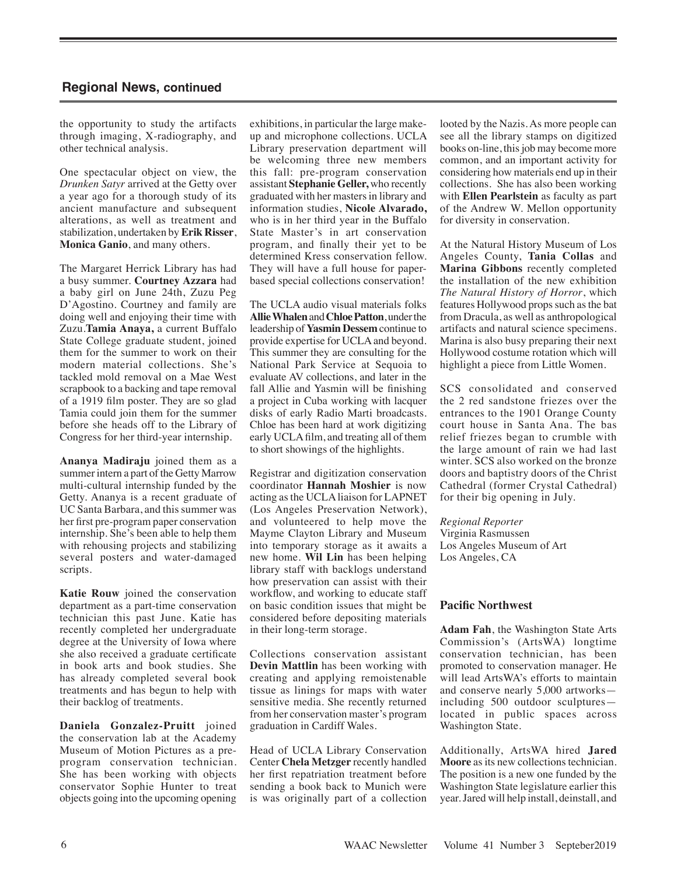the opportunity to study the artifacts through imaging, X-radiography, and other technical analysis.

One spectacular object on view, the *Drunken Satyr* arrived at the Getty over a year ago for a thorough study of its ancient manufacture and subsequent alterations, as well as treatment and stabilization, undertaken by **Erik Risser**, **Monica Ganio**, and many others.

The Margaret Herrick Library has had a busy summer. **Courtney Azzara** had a baby girl on June 24th, Zuzu Peg D'Agostino. Courtney and family are doing well and enjoying their time with Zuzu.**Tamia Anaya,** a current Buffalo State College graduate student, joined them for the summer to work on their modern material collections. She's tackled mold removal on a Mae West scrapbook to a backing and tape removal of a 1919 film poster. They are so glad Tamia could join them for the summer before she heads off to the Library of Congress for her third-year internship.

**Ananya Madiraju** joined them as a summer intern a part of the Getty Marrow multi-cultural internship funded by the Getty. Ananya is a recent graduate of UC Santa Barbara, and this summer was her first pre-program paper conservation internship. She's been able to help them with rehousing projects and stabilizing several posters and water-damaged scripts.

**Katie Rouw** joined the conservation department as a part-time conservation technician this past June. Katie has recently completed her undergraduate degree at the University of Iowa where she also received a graduate certificate in book arts and book studies. She has already completed several book treatments and has begun to help with their backlog of treatments.

**Daniela Gonzalez-Pruitt** joined the conservation lab at the Academy Museum of Motion Pictures as a preprogram conservation technician. She has been working with objects conservator Sophie Hunter to treat objects going into the upcoming opening

exhibitions, in particular the large makeup and microphone collections. UCLA Library preservation department will be welcoming three new members this fall: pre-program conservation assistant **Stephanie Geller,** who recently graduated with her masters in library and information studies, **Nicole Alvarado,**  who is in her third year in the Buffalo State Master's in art conservation program, and finally their yet to be determined Kress conservation fellow. They will have a full house for paperbased special collections conservation!

The UCLA audio visual materials folks **Allie Whalen** and **Chloe Patton**, under the leadership of **Yasmin Dessem** continue to provide expertise for UCLA and beyond. This summer they are consulting for the National Park Service at Sequoia to evaluate AV collections, and later in the fall Allie and Yasmin will be finishing a project in Cuba working with lacquer disks of early Radio Marti broadcasts. Chloe has been hard at work digitizing early UCLA film, and treating all of them to short showings of the highlights.

Registrar and digitization conservation coordinator **Hannah Moshier** is now acting as the UCLA liaison for LAPNET (Los Angeles Preservation Network), and volunteered to help move the Mayme Clayton Library and Museum into temporary storage as it awaits a new home. **Wil Lin** has been helping library staff with backlogs understand how preservation can assist with their workflow, and working to educate staff on basic condition issues that might be considered before depositing materials in their long-term storage.

Collections conservation assistant **Devin Mattlin** has been working with creating and applying remoistenable tissue as linings for maps with water sensitive media. She recently returned from her conservation master's program graduation in Cardiff Wales.

Head of UCLA Library Conservation Center **Chela Metzger** recently handled her first repatriation treatment before sending a book back to Munich were is was originally part of a collection looted by the Nazis. As more people can see all the library stamps on digitized books on-line, this job may become more common, and an important activity for considering how materials end up in their collections. She has also been working with **Ellen Pearlstein** as faculty as part of the Andrew W. Mellon opportunity for diversity in conservation.

At the Natural History Museum of Los Angeles County, **Tania Collas** and **Marina Gibbons** recently completed the installation of the new exhibition *The Natural History of Horror*, which features Hollywood props such as the bat from Dracula, as well as anthropological artifacts and natural science specimens. Marina is also busy preparing their next Hollywood costume rotation which will highlight a piece from Little Women.

SCS consolidated and conserved the 2 red sandstone friezes over the entrances to the 1901 Orange County court house in Santa Ana. The bas relief friezes began to crumble with the large amount of rain we had last winter. SCS also worked on the bronze doors and baptistry doors of the Christ Cathedral (former Crystal Cathedral) for their big opening in July.

*Regional Reporter*  Virginia Rasmussen Los Angeles Museum of Art Los Angeles, CA

#### **Pacific Northwest**

**Adam Fah**, the Washington State Arts Commission's (ArtsWA) longtime conservation technician, has been promoted to conservation manager. He will lead ArtsWA's efforts to maintain and conserve nearly 5,000 artworks including 500 outdoor sculptures located in public spaces across Washington State.

Additionally, ArtsWA hired **Jared Moore** as its new collections technician. The position is a new one funded by the Washington State legislature earlier this year. Jared will help install, deinstall, and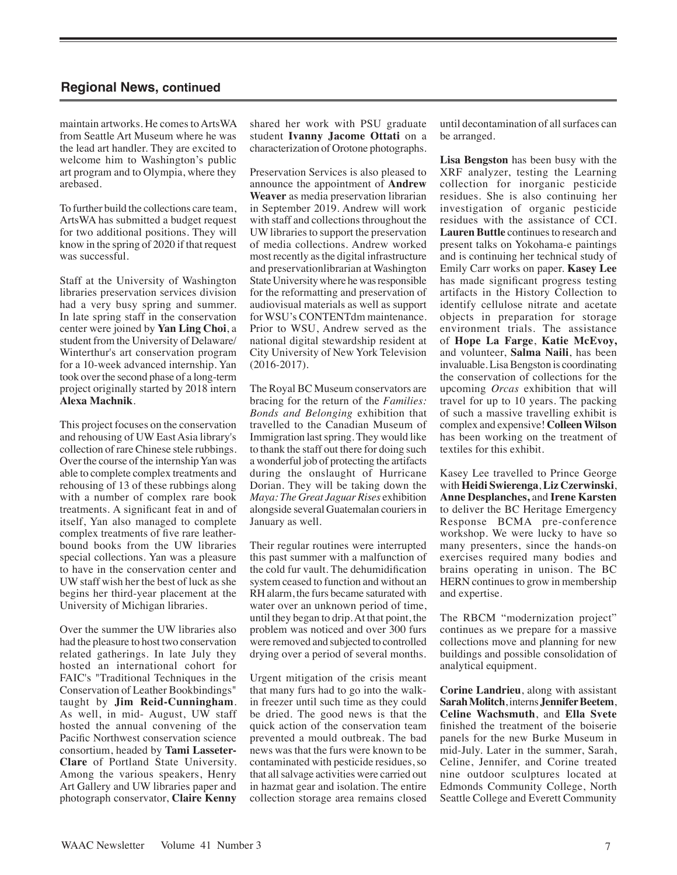maintain artworks. He comes to ArtsWA from Seattle Art Museum where he was the lead art handler. They are excited to welcome him to Washington's public art program and to Olympia, where they arebased.

To further build the collections care team, ArtsWA has submitted a budget request for two additional positions. They will know in the spring of 2020 if that request was successful.

Staff at the University of Washington libraries preservation services division had a very busy spring and summer. In late spring staff in the conservation center were joined by **Yan Ling Choi**, a student from the University of Delaware/ Winterthur's art conservation program for a 10-week advanced internship. Yan took over the second phase of a long-term project originally started by 2018 intern **Alexa Machnik**.

This project focuses on the conservation and rehousing of UW East Asia library's collection of rare Chinese stele rubbings. Over the course of the internship Yan was able to complete complex treatments and rehousing of 13 of these rubbings along with a number of complex rare book treatments. A significant feat in and of itself, Yan also managed to complete complex treatments of five rare leatherbound books from the UW libraries special collections. Yan was a pleasure to have in the conservation center and UW staff wish her the best of luck as she begins her third-year placement at the University of Michigan libraries.

Over the summer the UW libraries also had the pleasure to host two conservation related gatherings. In late July they hosted an international cohort for FAIC's "Traditional Techniques in the Conservation of Leather Bookbindings" taught by **Jim Reid-Cunningham**. As well, in mid- August, UW staff hosted the annual convening of the Pacific Northwest conservation science consortium, headed by **Tami Lasseter-Clare** of Portland State University. Among the various speakers, Henry Art Gallery and UW libraries paper and photograph conservator, **Claire Kenny**

shared her work with PSU graduate student **Ivanny Jacome Ottati** on a characterization of Orotone photographs.

Preservation Services is also pleased to announce the appointment of **Andrew Weaver** as media preservation librarian in September 2019. Andrew will work with staff and collections throughout the UW libraries to support the preservation of media collections. Andrew worked most recently as the digital infrastructure and preservationlibrarian at Washington State University where he was responsible for the reformatting and preservation of audiovisual materials as well as support for WSU's CONTENTdm maintenance. Prior to WSU, Andrew served as the national digital stewardship resident at City University of New York Television (2016-2017).

The Royal BC Museum conservators are bracing for the return of the *Families: Bonds and Belonging* exhibition that travelled to the Canadian Museum of Immigration last spring. They would like to thank the staff out there for doing such a wonderful job of protecting the artifacts during the onslaught of Hurricane Dorian. They will be taking down the *Maya: The Great Jaguar Rises* exhibition alongside several Guatemalan couriers in January as well.

Their regular routines were interrupted this past summer with a malfunction of the cold fur vault. The dehumidification system ceased to function and without an RH alarm, the furs became saturated with water over an unknown period of time, until they began to drip. At that point, the problem was noticed and over 300 furs were removed and subjected to controlled drying over a period of several months.

Urgent mitigation of the crisis meant that many furs had to go into the walkin freezer until such time as they could be dried. The good news is that the quick action of the conservation team prevented a mould outbreak. The bad news was that the furs were known to be contaminated with pesticide residues, so that all salvage activities were carried out in hazmat gear and isolation. The entire collection storage area remains closed until decontamination of all surfaces can be arranged.

**Lisa Bengston** has been busy with the XRF analyzer, testing the Learning collection for inorganic pesticide residues. She is also continuing her investigation of organic pesticide residues with the assistance of CCI. **Lauren Buttle** continues to research and present talks on Yokohama-e paintings and is continuing her technical study of Emily Carr works on paper. **Kasey Lee**  has made significant progress testing artifacts in the History Collection to identify cellulose nitrate and acetate objects in preparation for storage environment trials. The assistance of **Hope La Farge**, **Katie McEvoy,**  and volunteer, **Salma Naili**, has been invaluable. Lisa Bengston is coordinating the conservation of collections for the upcoming *Orcas* exhibition that will travel for up to 10 years. The packing of such a massive travelling exhibit is complex and expensive! **Colleen Wilson** has been working on the treatment of textiles for this exhibit.

Kasey Lee travelled to Prince George with **Heidi Swierenga**, **Liz Czerwinski**, **Anne Desplanches,** and **Irene Karsten** to deliver the BC Heritage Emergency Response BCMA pre-conference workshop. We were lucky to have so many presenters, since the hands-on exercises required many bodies and brains operating in unison. The BC HERN continues to grow in membership and expertise.

The RBCM "modernization project" continues as we prepare for a massive collections move and planning for new buildings and possible consolidation of analytical equipment.

**Corine Landrieu**, along with assistant **Sarah Molitch**, interns **Jennifer Beetem**, **Celine Wachsmuth**, and **Ella Svete**  finished the treatment of the boiserie panels for the new Burke Museum in mid-July. Later in the summer, Sarah, Celine, Jennifer, and Corine treated nine outdoor sculptures located at Edmonds Community College, North Seattle College and Everett Community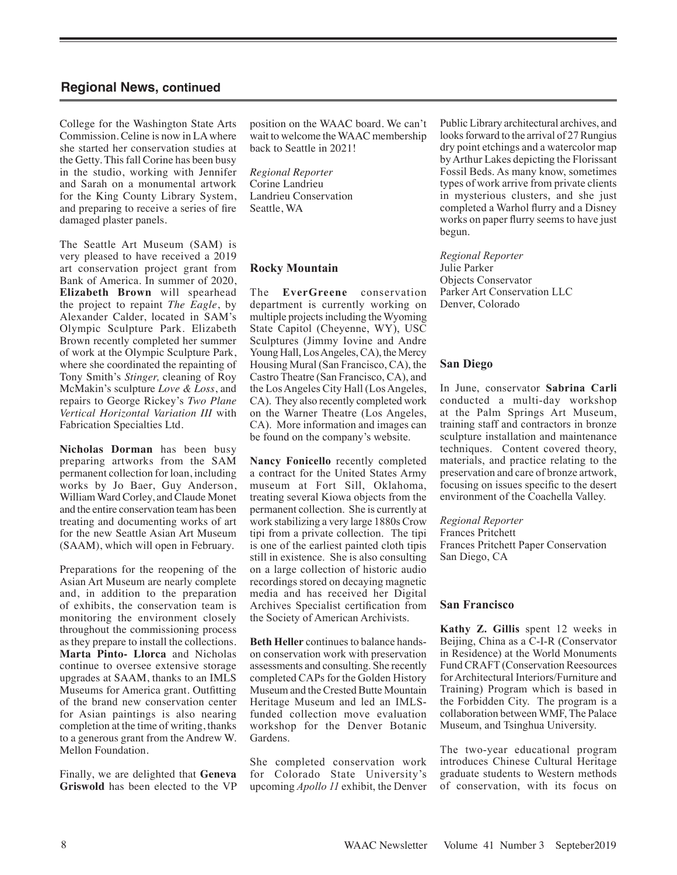College for the Washington State Arts Commission. Celine is now in LA where she started her conservation studies at the Getty. This fall Corine has been busy in the studio, working with Jennifer and Sarah on a monumental artwork for the King County Library System, and preparing to receive a series of fire damaged plaster panels.

The Seattle Art Museum (SAM) is very pleased to have received a 2019 art conservation project grant from Bank of America. In summer of 2020, **Elizabeth Brown** will spearhead the project to repaint *The Eagle*, by Alexander Calder, located in SAM's Olympic Sculpture Park. Elizabeth Brown recently completed her summer of work at the Olympic Sculpture Park, where she coordinated the repainting of Tony Smith's *Stinger,* cleaning of Roy McMakin's sculpture *Love & Loss*, and repairs to George Rickey's *Two Plane Vertical Horizontal Variation III* with Fabrication Specialties Ltd.

**Nicholas Dorman** has been busy preparing artworks from the SAM permanent collection for loan, including works by Jo Baer, Guy Anderson, William Ward Corley, and Claude Monet and the entire conservation team has been treating and documenting works of art for the new Seattle Asian Art Museum (SAAM), which will open in February.

Preparations for the reopening of the Asian Art Museum are nearly complete and, in addition to the preparation of exhibits, the conservation team is monitoring the environment closely throughout the commissioning process as they prepare to install the collections. **Marta Pinto- Llorca** and Nicholas continue to oversee extensive storage upgrades at SAAM, thanks to an IMLS Museums for America grant. Outfitting of the brand new conservation center for Asian paintings is also nearing completion at the time of writing, thanks to a generous grant from the Andrew W. Mellon Foundation.

Finally, we are delighted that **Geneva Griswold** has been elected to the VP position on the WAAC board. We can't wait to welcome the WAAC membership back to Seattle in 2021!

*Regional Reporter* Corine Landrieu Landrieu Conservation Seattle, WA

#### **Rocky Mountain**

The **EverGreene** conservation department is currently working on multiple projects including the Wyoming State Capitol (Cheyenne, WY), USC Sculptures (Jimmy Iovine and Andre Young Hall, Los Angeles, CA), the Mercy Housing Mural (San Francisco, CA), the Castro Theatre (San Francisco, CA), and the Los Angeles City Hall (Los Angeles, CA). They also recently completed work on the Warner Theatre (Los Angeles, CA). More information and images can be found on the company's website.

**Nancy Fonicello** recently completed a contract for the United States Army museum at Fort Sill, Oklahoma, treating several Kiowa objects from the permanent collection. She is currently at work stabilizing a very large 1880s Crow tipi from a private collection. The tipi is one of the earliest painted cloth tipis still in existence. She is also consulting on a large collection of historic audio recordings stored on decaying magnetic media and has received her Digital Archives Specialist certification from the Society of American Archivists.

**Beth Heller** continues to balance handson conservation work with preservation assessments and consulting. She recently completed CAPs for the Golden History Museum and the Crested Butte Mountain Heritage Museum and led an IMLSfunded collection move evaluation workshop for the Denver Botanic Gardens.

She completed conservation work for Colorado State University's upcoming *Apollo 11* exhibit, the Denver Public Library architectural archives, and looks forward to the arrival of 27 Rungius dry point etchings and a watercolor map by Arthur Lakes depicting the Florissant Fossil Beds. As many know, sometimes types of work arrive from private clients in mysterious clusters, and she just completed a Warhol flurry and a Disney works on paper flurry seems to have just begun.

*Regional Reporter*  Julie Parker Objects Conservator Parker Art Conservation LLC Denver, Colorado

#### **San Diego**

In June, conservator **Sabrina Carli** conducted a multi-day workshop at the Palm Springs Art Museum, training staff and contractors in bronze sculpture installation and maintenance techniques. Content covered theory, materials, and practice relating to the preservation and care of bronze artwork, focusing on issues specific to the desert environment of the Coachella Valley.

*Regional Reporter* Frances Pritchett Frances Pritchett Paper Conservation San Diego, CA

#### **San Francisco**

**Kathy Z. Gillis** spent 12 weeks in Beijing, China as a C-I-R (Conservator in Residence) at the World Monuments Fund CRAFT (Conservation Reesources for Architectural Interiors/Furniture and Training) Program which is based in the Forbidden City. The program is a collaboration between WMF, The Palace Museum, and Tsinghua University.

The two-year educational program introduces Chinese Cultural Heritage graduate students to Western methods of conservation, with its focus on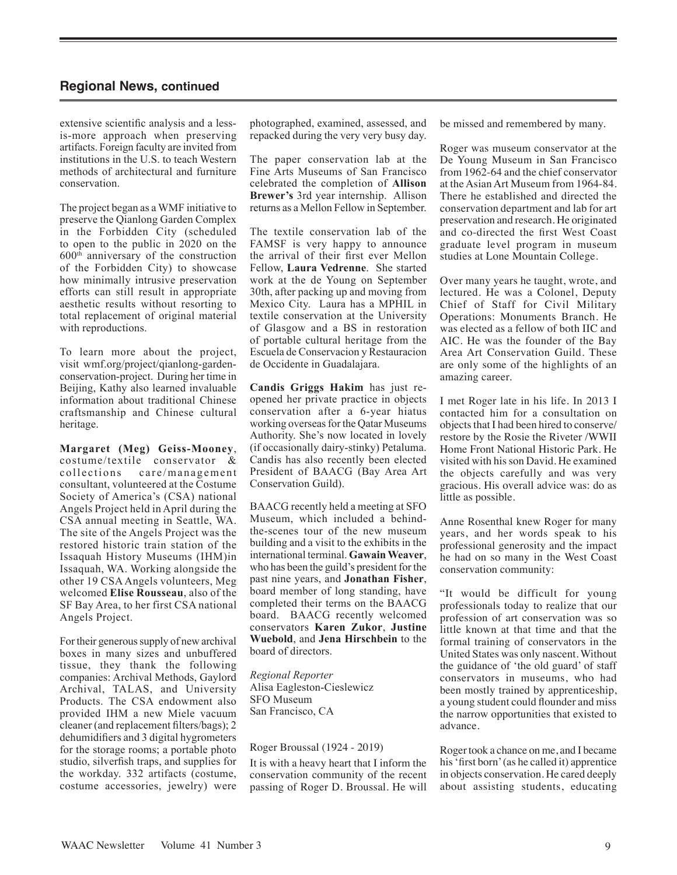extensive scientific analysis and a lessis-more approach when preserving artifacts. Foreign faculty are invited from institutions in the U.S. to teach Western methods of architectural and furniture conservation.

The project began as a WMF initiative to preserve the Qianlong Garden Complex in the Forbidden City (scheduled to open to the public in 2020 on the 600th anniversary of the construction of the Forbidden City) to showcase how minimally intrusive preservation efforts can still result in appropriate aesthetic results without resorting to total replacement of original material with reproductions.

To learn more about the project, visit wmf.org/project/qianlong-gardenconservation-project. During her time in Beijing, Kathy also learned invaluable information about traditional Chinese craftsmanship and Chinese cultural heritage.

**Margaret (Meg) Geiss-Mooney**, costume/textile conservator & collections care/management consultant, volunteered at the Costume Society of America's (CSA) national Angels Project held in April during the CSA annual meeting in Seattle, WA. The site of the Angels Project was the restored historic train station of the Issaquah History Museums (IHM)in Issaquah, WA. Working alongside the other 19 CSA Angels volunteers, Meg welcomed **Elise Rousseau**, also of the SF Bay Area, to her first CSA national Angels Project.

For their generous supply of new archival boxes in many sizes and unbuffered tissue, they thank the following companies: Archival Methods, Gaylord Archival, TALAS, and University Products. The CSA endowment also provided IHM a new Miele vacuum cleaner (and replacement filters/bags); 2 dehumidifiers and 3 digital hygrometers for the storage rooms; a portable photo studio, silverfish traps, and supplies for the workday. 332 artifacts (costume, costume accessories, jewelry) were

photographed, examined, assessed, and repacked during the very very busy day.

The paper conservation lab at the Fine Arts Museums of San Francisco celebrated the completion of **Allison Brewer's** 3rd year internship. Allison returns as a Mellon Fellow in September.

The textile conservation lab of the FAMSF is very happy to announce the arrival of their first ever Mellon Fellow, **Laura Vedrenne**. She started work at the de Young on September 30th, after packing up and moving from Mexico City. Laura has a MPHIL in textile conservation at the University of Glasgow and a BS in restoration of portable cultural heritage from the Escuela de Conservacion y Restauracion de Occidente in Guadalajara.

**Candis Griggs Hakim** has just reopened her private practice in objects conservation after a 6-year hiatus working overseas for the Qatar Museums Authority. She's now located in lovely (if occasionally dairy-stinky) Petaluma. Candis has also recently been elected President of BAACG (Bay Area Art Conservation Guild).

BAACG recently held a meeting at SFO Museum, which included a behindthe-scenes tour of the new museum building and a visit to the exhibits in the international terminal. **Gawain Weaver**, who has been the guild's president for the past nine years, and **Jonathan Fisher**, board member of long standing, have completed their terms on the BAACG board. BAACG recently welcomed conservators **Karen Zukor**, **Justine Wuebold**, and **Jena Hirschbein** to the board of directors.

*Regional Reporter*  Alisa Eagleston-Cieslewicz SFO Museum San Francisco, CA

#### Roger Broussal (1924 - 2019)

It is with a heavy heart that I inform the conservation community of the recent passing of Roger D. Broussal. He will be missed and remembered by many.

Roger was museum conservator at the De Young Museum in San Francisco from 1962-64 and the chief conservator at the Asian Art Museum from 1964-84. There he established and directed the conservation department and lab for art preservation and research. He originated and co-directed the first West Coast graduate level program in museum studies at Lone Mountain College.

Over many years he taught, wrote, and lectured. He was a Colonel, Deputy Chief of Staff for Civil Military Operations: Monuments Branch. He was elected as a fellow of both IIC and AIC. He was the founder of the Bay Area Art Conservation Guild. These are only some of the highlights of an amazing career.

I met Roger late in his life. In 2013 I contacted him for a consultation on objects that I had been hired to conserve/ restore by the Rosie the Riveter /WWII Home Front National Historic Park. He visited with his son David. He examined the objects carefully and was very gracious. His overall advice was: do as little as possible.

Anne Rosenthal knew Roger for many years, and her words speak to his professional generosity and the impact he had on so many in the West Coast conservation community:

"It would be difficult for young professionals today to realize that our profession of art conservation was so little known at that time and that the formal training of conservators in the United States was only nascent. Without the guidance of 'the old guard' of staff conservators in museums, who had been mostly trained by apprenticeship, a young student could flounder and miss the narrow opportunities that existed to advance.

Roger took a chance on me, and I became his 'first born' (as he called it) apprentice in objects conservation. He cared deeply about assisting students, educating